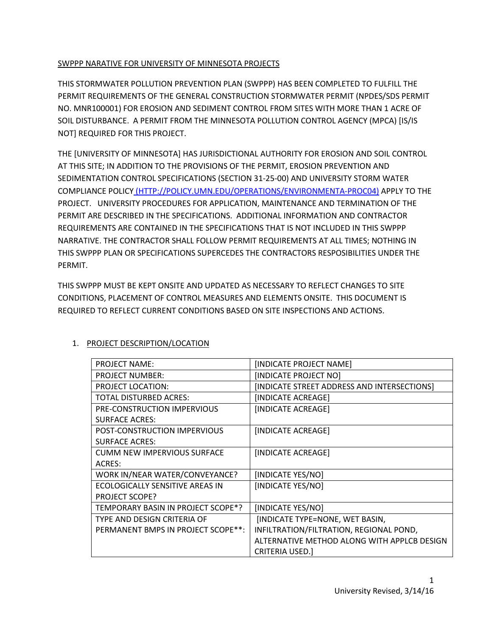## SWPPP NARATIVE FOR UNIVERSITY OF MINNESOTA PROJECTS

THIS STORMWATER POLLUTION PREVENTION PLAN (SWPPP) HAS BEEN COMPLETED TO FULFILL THE PERMIT REQUIREMENTS OF THE GENERAL CONSTRUCTION STORMWATER PERMIT (NPDES/SDS PERMIT NO. MNR100001) FOR EROSION AND SEDIMENT CONTROL FROM SITES WITH MORE THAN 1 ACRE OF SOIL DISTURBANCE. A PERMIT FROM THE MINNESOTA POLLUTION CONTROL AGENCY (MPCA) [IS/IS NOT] REQUIRED FOR THIS PROJECT.

THE [UNIVERSITY OF MINNESOTA] HAS JURISDICTIONAL AUTHORITY FOR EROSION AND SOIL CONTROL AT THIS SITE; IN ADDITION TO THE PROVISIONS OF THE PERMIT, EROSION PREVENTION AND SEDIMENTATION CONTROL SPECIFICATIONS (SECTION 31-25-00) AND UNIVERSITY STORM WATER COMPLIANCE POLICY [\(HTTP://POLICY.UMN.EDU/OPERATIONS/ENVIRONMENTA-PROC04\)](http://policy.umn.edu/OPERATIONS/ENVIRONMENTA-PROC04)) APPLY TO THE PROJECT. UNIVERSITY PROCEDURES FOR APPLICATION, MAINTENANCE AND TERMINATION OF THE PERMIT ARE DESCRIBED IN THE SPECIFICATIONS. ADDITIONAL INFORMATION AND CONTRACTOR REQUIREMENTS ARE CONTAINED IN THE SPECIFICATIONS THAT IS NOT INCLUDED IN THIS SWPPP NARRATIVE. THE CONTRACTOR SHALL FOLLOW PERMIT REQUIREMENTS AT ALL TIMES; NOTHING IN THIS SWPPP PLAN OR SPECIFICATIONS SUPERCEDES THE CONTRACTORS RESPOSIBILITIES UNDER THE PERMIT.

THIS SWPPP MUST BE KEPT ONSITE AND UPDATED AS NECESSARY TO REFLECT CHANGES TO SITE CONDITIONS, PLACEMENT OF CONTROL MEASURES AND ELEMENTS ONSITE. THIS DOCUMENT IS REQUIRED TO REFLECT CURRENT CONDITIONS BASED ON SITE INSPECTIONS AND ACTIONS.

| <b>PROJECT NAME:</b>               | [INDICATE PROJECT NAME]                     |
|------------------------------------|---------------------------------------------|
| <b>PROJECT NUMBER:</b>             | [INDICATE PROJECT NO]                       |
| <b>PROJECT LOCATION:</b>           | [INDICATE STREET ADDRESS AND INTERSECTIONS] |
| TOTAL DISTURBED ACRES:             | [INDICATE ACREAGE]                          |
| PRE-CONSTRUCTION IMPERVIOUS        | [INDICATE ACREAGE]                          |
| <b>SURFACE ACRES:</b>              |                                             |
| POST-CONSTRUCTION IMPERVIOUS       | [INDICATE ACREAGE]                          |
| <b>SURFACE ACRES:</b>              |                                             |
| <b>CUMM NEW IMPERVIOUS SURFACE</b> | [INDICATE ACREAGE]                          |
| ACRES:                             |                                             |
| WORK IN/NEAR WATER/CONVEYANCE?     | [INDICATE YES/NO]                           |
| ECOLOGICALLY SENSITIVE AREAS IN    | [INDICATE YES/NO]                           |
| <b>PROJECT SCOPE?</b>              |                                             |
| TEMPORARY BASIN IN PROJECT SCOPE*? | [INDICATE YES/NO]                           |
| TYPE AND DESIGN CRITERIA OF        | [INDICATE TYPE=NONE, WET BASIN,             |
| PERMANENT BMPS IN PROJECT SCOPE**: | INFILTRATION/FILTRATION, REGIONAL POND,     |
|                                    | ALTERNATIVE METHOD ALONG WITH APPLCB DESIGN |
|                                    | <b>CRITERIA USED.]</b>                      |

## 1. PROJECT DESCRIPTION/LOCATION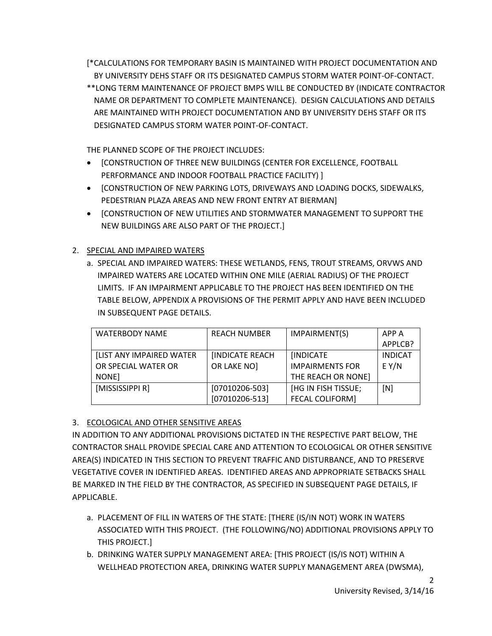[\*CALCULATIONS FOR TEMPORARY BASIN IS MAINTAINED WITH PROJECT DOCUMENTATION AND BY UNIVERSITY DEHS STAFF OR ITS DESIGNATED CAMPUS STORM WATER POINT-OF-CONTACT.

\*\*LONG TERM MAINTENANCE OF PROJECT BMPS WILL BE CONDUCTED BY (INDICATE CONTRACTOR NAME OR DEPARTMENT TO COMPLETE MAINTENANCE). DESIGN CALCULATIONS AND DETAILS ARE MAINTAINED WITH PROJECT DOCUMENTATION AND BY UNIVERSITY DEHS STAFF OR ITS DESIGNATED CAMPUS STORM WATER POINT-OF-CONTACT.

THE PLANNED SCOPE OF THE PROJECT INCLUDES:

- [CONSTRUCTION OF THREE NEW BUILDINGS (CENTER FOR EXCELLENCE, FOOTBALL PERFORMANCE AND INDOOR FOOTBALL PRACTICE FACILITY) ]
- [CONSTRUCTION OF NEW PARKING LOTS, DRIVEWAYS AND LOADING DOCKS, SIDEWALKS, PEDESTRIAN PLAZA AREAS AND NEW FRONT ENTRY AT BIERMAN]
- [CONSTRUCTION OF NEW UTILITIES AND STORMWATER MANAGEMENT TO SUPPORT THE NEW BUILDINGS ARE ALSO PART OF THE PROJECT.]

# 2. SPECIAL AND IMPAIRED WATERS

a. SPECIAL AND IMPAIRED WATERS: THESE WETLANDS, FENS, TROUT STREAMS, ORVWS AND IMPAIRED WATERS ARE LOCATED WITHIN ONE MILE (AERIAL RADIUS) OF THE PROJECT LIMITS. IF AN IMPAIRMENT APPLICABLE TO THE PROJECT HAS BEEN IDENTIFIED ON THE TABLE BELOW, APPENDIX A PROVISIONS OF THE PERMIT APPLY AND HAVE BEEN INCLUDED IN SUBSEQUENT PAGE DETAILS.

| <b>WATERBODY NAME</b>           | <b>REACH NUMBER</b> | IMPAIRMENT(S)          | APP A          |
|---------------------------------|---------------------|------------------------|----------------|
|                                 |                     |                        | APPLCB?        |
| <b>[LIST ANY IMPAIRED WATER</b> | [INDICATE REACH     | <b>[INDICATE</b>       | <b>INDICAT</b> |
| OR SPECIAL WATER OR             | OR LAKE NO]         | <b>IMPAIRMENTS FOR</b> | $E$ Y/N        |
| NONE]                           |                     | THE REACH OR NONE]     |                |
| [MISSISSIPPI R]                 | $[07010206 - 503]$  | [HG IN FISH TISSUE;    | [N]            |
|                                 | $[07010206 - 513]$  | <b>FECAL COLIFORM]</b> |                |

## 3. ECOLOGICAL AND OTHER SENSITIVE AREAS

IN ADDITION TO ANY ADDITIONAL PROVISIONS DICTATED IN THE RESPECTIVE PART BELOW, THE CONTRACTOR SHALL PROVIDE SPECIAL CARE AND ATTENTION TO ECOLOGICAL OR OTHER SENSITIVE AREA(S) INDICATED IN THIS SECTION TO PREVENT TRAFFIC AND DISTURBANCE, AND TO PRESERVE VEGETATIVE COVER IN IDENTIFIED AREAS. IDENTIFIED AREAS AND APPROPRIATE SETBACKS SHALL BE MARKED IN THE FIELD BY THE CONTRACTOR, AS SPECIFIED IN SUBSEQUENT PAGE DETAILS, IF APPLICABLE.

- a. PLACEMENT OF FILL IN WATERS OF THE STATE: [THERE (IS/IN NOT) WORK IN WATERS ASSOCIATED WITH THIS PROJECT. (THE FOLLOWING/NO) ADDITIONAL PROVISIONS APPLY TO THIS PROJECT.]
- b. DRINKING WATER SUPPLY MANAGEMENT AREA: [THIS PROJECT (IS/IS NOT) WITHIN A WELLHEAD PROTECTION AREA, DRINKING WATER SUPPLY MANAGEMENT AREA (DWSMA),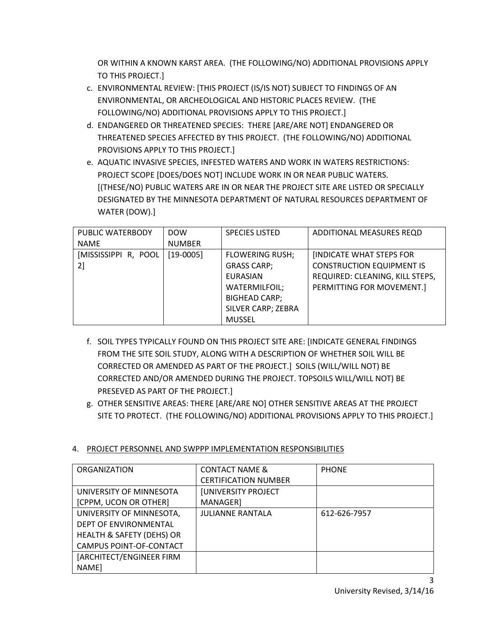OR WITHIN A KNOWN KARST AREA. (THE FOLLOWING/NO) ADDITIONAL PROVISIONS APPLY TO THIS PROJECT.]

- c. ENVIRONMENTAL REVIEW: [THIS PROJECT (IS/IS NOT) SUBJECT TO FINDINGS OF AN ENVIRONMENTAL, OR ARCHEOLOGICAL AND HISTORIC PLACES REVIEW. (THE FOLLOWING/NO) ADDITIONAL PROVISIONS APPLY TO THIS PROJECT.]
- d. ENDANGERED OR THREATENED SPECIES: THERE [ARE/ARE NOT] ENDANGERED OR THREATENED SPECIES AFFECTED BY THIS PROJECT. (THE FOLLOWING/NO) ADDITIONAL PROVISIONS APPLY TO THIS PROJECT.]
- e. AQUATIC INVASIVE SPECIES, INFESTED WATERS AND WORK IN WATERS RESTRICTIONS: PROJECT SCOPE [DOES/DOES NOT] INCLUDE WORK IN OR NEAR PUBLIC WATERS. [(THESE/NO) PUBLIC WATERS ARE IN OR NEAR THE PROJECT SITE ARE LISTED OR SPECIALLY DESIGNATED BY THE MINNESOTA DEPARTMENT OF NATURAL RESOURCES DEPARTMENT OF WATER (DOW).]

| PUBLIC WATERBODY     | <b>DOW</b>    | <b>SPECIES LISTED</b>  | ADDITIONAL MEASURES REQD         |
|----------------------|---------------|------------------------|----------------------------------|
| <b>NAME</b>          | <b>NUMBER</b> |                        |                                  |
| [MISSISSIPPI R, POOL | $[19-0005]$   | <b>FLOWERING RUSH;</b> | <b>INDICATE WHAT STEPS FOR</b>   |
| 21                   |               | <b>GRASS CARP;</b>     | <b>CONSTRUCTION EQUIPMENT IS</b> |
|                      |               | <b>EURASIAN</b>        | REQUIRED: CLEANING, KILL STEPS,  |
|                      |               | WATERMILFOIL;          | PERMITTING FOR MOVEMENT.]        |
|                      |               | <b>BIGHEAD CARP;</b>   |                                  |
|                      |               | SILVER CARP; ZEBRA     |                                  |
|                      |               | <b>MUSSEL</b>          |                                  |

- f. SOIL TYPES TYPICALLY FOUND ON THIS PROJECT SITE ARE: [INDICATE GENERAL FINDINGS FROM THE SITE SOIL STUDY, ALONG WITH A DESCRIPTION OF WHETHER SOIL WILL BE CORRECTED OR AMENDED AS PART OF THE PROJECT.] SOILS (WILL/WILL NOT) BE CORRECTED AND/OR AMENDED DURING THE PROJECT. TOPSOILS WILL/WILL NOT) BE PRESEVED AS PART OF THE PROJECT.]
- g. OTHER SENSITIVE AREAS: THERE [ARE/ARE NO] OTHER SENSITIVE AREAS AT THE PROJECT SITE TO PROTECT. (THE FOLLOWING/NO) ADDITIONAL PROVISIONS APPLY TO THIS PROJECT.]
- ORGANIZATION CONTACT NAME & CERTIFICATION NUMBER **PHONE** UNIVERSITY OF MINNESOTA [CPPM, UCON OR OTHER] [UNIVERSITY PROJECT MANAGER] UNIVERSITY OF MINNESOTA, DEPT OF ENVIRONMENTAL HEALTH & SAFETY (DEHS) OR CAMPUS POINT-OF-CONTACT JULIANNE RANTALA 1612-626-7957 [ARCHITECT/ENGINEER FIRM NAME]

## 4. PROJECT PERSONNEL AND SWPPP IMPLEMENTATION RESPONSIBILITIES

3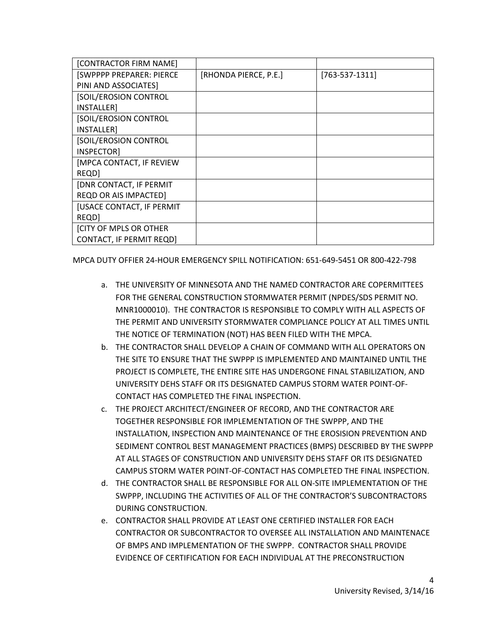| [CONTRACTOR FIRM NAME]           |                       |                  |
|----------------------------------|-----------------------|------------------|
| [SWPPPP PREPARER: PIERCE         | [RHONDA PIERCE, P.E.] | $[763-537-1311]$ |
| PINI AND ASSOCIATES]             |                       |                  |
| [SOIL/EROSION CONTROL            |                       |                  |
| INSTALLER]                       |                       |                  |
| [SOIL/EROSION CONTROL            |                       |                  |
| INSTALLER]                       |                       |                  |
| [SOIL/EROSION CONTROL            |                       |                  |
| INSPECTOR]                       |                       |                  |
| [MPCA CONTACT, IF REVIEW         |                       |                  |
| REQD]                            |                       |                  |
| [DNR CONTACT, IF PERMIT          |                       |                  |
| <b>REQD OR AIS IMPACTED]</b>     |                       |                  |
| <b>[USACE CONTACT, IF PERMIT</b> |                       |                  |
| REQD]                            |                       |                  |
| <b>[CITY OF MPLS OR OTHER</b>    |                       |                  |
| <b>CONTACT, IF PERMIT REQD]</b>  |                       |                  |

MPCA DUTY OFFIER 24-HOUR EMERGENCY SPILL NOTIFICATION: 651-649-5451 OR 800-422-798

- a. THE UNIVERSITY OF MINNESOTA AND THE NAMED CONTRACTOR ARE COPERMITTEES FOR THE GENERAL CONSTRUCTION STORMWATER PERMIT (NPDES/SDS PERMIT NO. MNR1000010). THE CONTRACTOR IS RESPONSIBLE TO COMPLY WITH ALL ASPECTS OF THE PERMIT AND UNIVERSITY STORMWATER COMPLIANCE POLICY AT ALL TIMES UNTIL THE NOTICE OF TERMINATION (NOT) HAS BEEN FILED WITH THE MPCA.
- b. THE CONTRACTOR SHALL DEVELOP A CHAIN OF COMMAND WITH ALL OPERATORS ON THE SITE TO ENSURE THAT THE SWPPP IS IMPLEMENTED AND MAINTAINED UNTIL THE PROJECT IS COMPLETE, THE ENTIRE SITE HAS UNDERGONE FINAL STABILIZATION, AND UNIVERSITY DEHS STAFF OR ITS DESIGNATED CAMPUS STORM WATER POINT-OF-CONTACT HAS COMPLETED THE FINAL INSPECTION.
- c. THE PROJECT ARCHITECT/ENGINEER OF RECORD, AND THE CONTRACTOR ARE TOGETHER RESPONSIBLE FOR IMPLEMENTATION OF THE SWPPP, AND THE INSTALLATION, INSPECTION AND MAINTENANCE OF THE EROSISION PREVENTION AND SEDIMENT CONTROL BEST MANAGEMENT PRACTICES (BMPS) DESCRIBED BY THE SWPPP AT ALL STAGES OF CONSTRUCTION AND UNIVERSITY DEHS STAFF OR ITS DESIGNATED CAMPUS STORM WATER POINT-OF-CONTACT HAS COMPLETED THE FINAL INSPECTION.
- d. THE CONTRACTOR SHALL BE RESPONSIBLE FOR ALL ON-SITE IMPLEMENTATION OF THE SWPPP, INCLUDING THE ACTIVITIES OF ALL OF THE CONTRACTOR'S SUBCONTRACTORS DURING CONSTRUCTION.
- e. CONTRACTOR SHALL PROVIDE AT LEAST ONE CERTIFIED INSTALLER FOR EACH CONTRACTOR OR SUBCONTRACTOR TO OVERSEE ALL INSTALLATION AND MAINTENACE OF BMPS AND IMPLEMENTATION OF THE SWPPP. CONTRACTOR SHALL PROVIDE EVIDENCE OF CERTIFICATION FOR EACH INDIVIDUAL AT THE PRECONSTRUCTION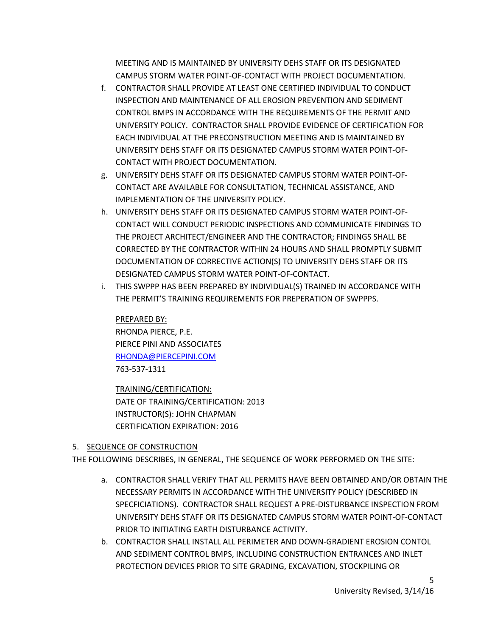MEETING AND IS MAINTAINED BY UNIVERSITY DEHS STAFF OR ITS DESIGNATED CAMPUS STORM WATER POINT-OF-CONTACT WITH PROJECT DOCUMENTATION.

- f. CONTRACTOR SHALL PROVIDE AT LEAST ONE CERTIFIED INDIVIDUAL TO CONDUCT INSPECTION AND MAINTENANCE OF ALL EROSION PREVENTION AND SEDIMENT CONTROL BMPS IN ACCORDANCE WITH THE REQUIREMENTS OF THE PERMIT AND UNIVERSITY POLICY. CONTRACTOR SHALL PROVIDE EVIDENCE OF CERTIFICATION FOR EACH INDIVIDUAL AT THE PRECONSTRUCTION MEETING AND IS MAINTAINED BY UNIVERSITY DEHS STAFF OR ITS DESIGNATED CAMPUS STORM WATER POINT-OF-CONTACT WITH PROJECT DOCUMENTATION.
- g. UNIVERSITY DEHS STAFF OR ITS DESIGNATED CAMPUS STORM WATER POINT-OF-CONTACT ARE AVAILABLE FOR CONSULTATION, TECHNICAL ASSISTANCE, AND IMPLEMENTATION OF THE UNIVERSITY POLICY.
- h. UNIVERSITY DEHS STAFF OR ITS DESIGNATED CAMPUS STORM WATER POINT-OF-CONTACT WILL CONDUCT PERIODIC INSPECTIONS AND COMMUNICATE FINDINGS TO THE PROJECT ARCHITECT/ENGINEER AND THE CONTRACTOR; FINDINGS SHALL BE CORRECTED BY THE CONTRACTOR WITHIN 24 HOURS AND SHALL PROMPTLY SUBMIT DOCUMENTATION OF CORRECTIVE ACTION(S) TO UNIVERSITY DEHS STAFF OR ITS DESIGNATED CAMPUS STORM WATER POINT-OF-CONTACT.
- i. THIS SWPPP HAS BEEN PREPARED BY INDIVIDUAL(S) TRAINED IN ACCORDANCE WITH THE PERMIT'S TRAINING REQUIREMENTS FOR PREPERATION OF SWPPPS.

PREPARED BY: RHONDA PIERCE, P.E. PIERCE PINI AND ASSOCIATES [RHONDA@PIERCEPINI.COM](mailto:RHONDA@PIERCEPINI.COM) 763-537-1311

TRAINING/CERTIFICATION: DATE OF TRAINING/CERTIFICATION: 2013 INSTRUCTOR(S): JOHN CHAPMAN CERTIFICATION EXPIRATION: 2016

# 5. SEQUENCE OF CONSTRUCTION

THE FOLLOWING DESCRIBES, IN GENERAL, THE SEQUENCE OF WORK PERFORMED ON THE SITE:

- a. CONTRACTOR SHALL VERIFY THAT ALL PERMITS HAVE BEEN OBTAINED AND/OR OBTAIN THE NECESSARY PERMITS IN ACCORDANCE WITH THE UNIVERSITY POLICY (DESCRIBED IN SPECFICIATIONS). CONTRACTOR SHALL REQUEST A PRE-DISTURBANCE INSPECTION FROM UNIVERSITY DEHS STAFF OR ITS DESIGNATED CAMPUS STORM WATER POINT-OF-CONTACT PRIOR TO INITIATING EARTH DISTURBANCE ACTIVITY.
- b. CONTRACTOR SHALL INSTALL ALL PERIMETER AND DOWN-GRADIENT EROSION CONTOL AND SEDIMENT CONTROL BMPS, INCLUDING CONSTRUCTION ENTRANCES AND INLET PROTECTION DEVICES PRIOR TO SITE GRADING, EXCAVATION, STOCKPILING OR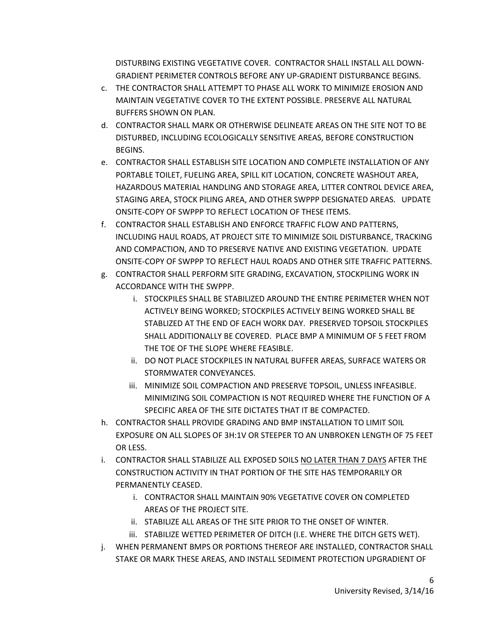DISTURBING EXISTING VEGETATIVE COVER. CONTRACTOR SHALL INSTALL ALL DOWN-GRADIENT PERIMETER CONTROLS BEFORE ANY UP-GRADIENT DISTURBANCE BEGINS.

- c. THE CONTRACTOR SHALL ATTEMPT TO PHASE ALL WORK TO MINIMIZE EROSION AND MAINTAIN VEGETATIVE COVER TO THE EXTENT POSSIBLE. PRESERVE ALL NATURAL BUFFERS SHOWN ON PLAN.
- d. CONTRACTOR SHALL MARK OR OTHERWISE DELINEATE AREAS ON THE SITE NOT TO BE DISTURBED, INCLUDING ECOLOGICALLY SENSITIVE AREAS, BEFORE CONSTRUCTION BEGINS.
- e. CONTRACTOR SHALL ESTABLISH SITE LOCATION AND COMPLETE INSTALLATION OF ANY PORTABLE TOILET, FUELING AREA, SPILL KIT LOCATION, CONCRETE WASHOUT AREA, HAZARDOUS MATERIAL HANDLING AND STORAGE AREA, LITTER CONTROL DEVICE AREA, STAGING AREA, STOCK PILING AREA, AND OTHER SWPPP DESIGNATED AREAS. UPDATE ONSITE-COPY OF SWPPP TO REFLECT LOCATION OF THESE ITEMS.
- f. CONTRACTOR SHALL ESTABLISH AND ENFORCE TRAFFIC FLOW AND PATTERNS, INCLUDING HAUL ROADS, AT PROJECT SITE TO MINIMIZE SOIL DISTURBANCE, TRACKING AND COMPACTION, AND TO PRESERVE NATIVE AND EXISTING VEGETATION. UPDATE ONSITE-COPY OF SWPPP TO REFLECT HAUL ROADS AND OTHER SITE TRAFFIC PATTERNS.
- g. CONTRACTOR SHALL PERFORM SITE GRADING, EXCAVATION, STOCKPILING WORK IN ACCORDANCE WITH THE SWPPP.
	- i. STOCKPILES SHALL BE STABILIZED AROUND THE ENTIRE PERIMETER WHEN NOT ACTIVELY BEING WORKED; STOCKPILES ACTIVELY BEING WORKED SHALL BE STABLIZED AT THE END OF EACH WORK DAY. PRESERVED TOPSOIL STOCKPILES SHALL ADDITIONALLY BE COVERED. PLACE BMP A MINIMUM OF 5 FEET FROM THE TOE OF THE SLOPE WHERE FEASIBLE.
	- ii. DO NOT PLACE STOCKPILES IN NATURAL BUFFER AREAS, SURFACE WATERS OR STORMWATER CONVEYANCES.
	- iii. MINIMIZE SOIL COMPACTION AND PRESERVE TOPSOIL, UNLESS INFEASIBLE. MINIMIZING SOIL COMPACTION IS NOT REQUIRED WHERE THE FUNCTION OF A SPECIFIC AREA OF THE SITE DICTATES THAT IT BE COMPACTED.
- h. CONTRACTOR SHALL PROVIDE GRADING AND BMP INSTALLATION TO LIMIT SOIL EXPOSURE ON ALL SLOPES OF 3H:1V OR STEEPER TO AN UNBROKEN LENGTH OF 75 FEET OR LESS.
- i. CONTRACTOR SHALL STABILIZE ALL EXPOSED SOILS NO LATER THAN 7 DAYS AFTER THE CONSTRUCTION ACTIVITY IN THAT PORTION OF THE SITE HAS TEMPORARILY OR PERMANENTLY CEASED.
	- i. CONTRACTOR SHALL MAINTAIN 90% VEGETATIVE COVER ON COMPLETED AREAS OF THE PROJECT SITE.
	- ii. STABILIZE ALL AREAS OF THE SITE PRIOR TO THE ONSET OF WINTER.
	- iii. STABILIZE WETTED PERIMETER OF DITCH (I.E. WHERE THE DITCH GETS WET).
- j. WHEN PERMANENT BMPS OR PORTIONS THEREOF ARE INSTALLED, CONTRACTOR SHALL STAKE OR MARK THESE AREAS, AND INSTALL SEDIMENT PROTECTION UPGRADIENT OF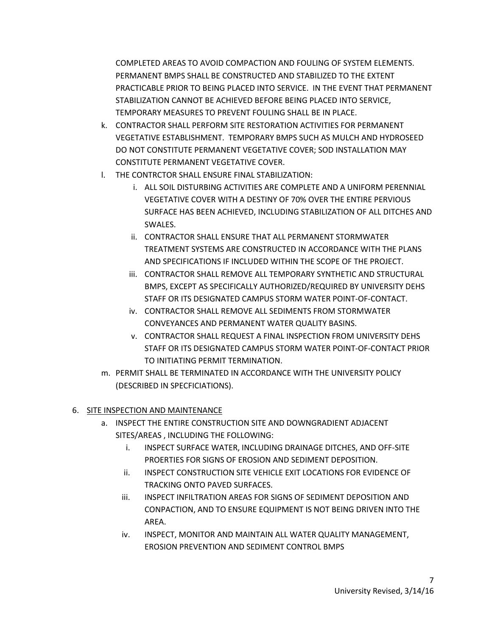COMPLETED AREAS TO AVOID COMPACTION AND FOULING OF SYSTEM ELEMENTS. PERMANENT BMPS SHALL BE CONSTRUCTED AND STABILIZED TO THE EXTENT PRACTICABLE PRIOR TO BEING PLACED INTO SERVICE. IN THE EVENT THAT PERMANENT STABILIZATION CANNOT BE ACHIEVED BEFORE BEING PLACED INTO SERVICE, TEMPORARY MEASURES TO PREVENT FOULING SHALL BE IN PLACE.

- k. CONTRACTOR SHALL PERFORM SITE RESTORATION ACTIVITIES FOR PERMANENT VEGETATIVE ESTABLISHMENT. TEMPORARY BMPS SUCH AS MULCH AND HYDROSEED DO NOT CONSTITUTE PERMANENT VEGETATIVE COVER; SOD INSTALLATION MAY CONSTITUTE PERMANENT VEGETATIVE COVER.
- l. THE CONTRCTOR SHALL ENSURE FINAL STABILIZATION:
	- i. ALL SOIL DISTURBING ACTIVITIES ARE COMPLETE AND A UNIFORM PERENNIAL VEGETATIVE COVER WITH A DESTINY OF 70% OVER THE ENTIRE PERVIOUS SURFACE HAS BEEN ACHIEVED, INCLUDING STABILIZATION OF ALL DITCHES AND SWALES.
	- ii. CONTRACTOR SHALL ENSURE THAT ALL PERMANENT STORMWATER TREATMENT SYSTEMS ARE CONSTRUCTED IN ACCORDANCE WITH THE PLANS AND SPECIFICATIONS IF INCLUDED WITHIN THE SCOPE OF THE PROJECT.
	- iii. CONTRACTOR SHALL REMOVE ALL TEMPORARY SYNTHETIC AND STRUCTURAL BMPS, EXCEPT AS SPECIFICALLY AUTHORIZED/REQUIRED BY UNIVERSITY DEHS STAFF OR ITS DESIGNATED CAMPUS STORM WATER POINT-OF-CONTACT.
	- iv. CONTRACTOR SHALL REMOVE ALL SEDIMENTS FROM STORMWATER CONVEYANCES AND PERMANENT WATER QUALITY BASINS.
	- v. CONTRACTOR SHALL REQUEST A FINAL INSPECTION FROM UNIVERSITY DEHS STAFF OR ITS DESIGNATED CAMPUS STORM WATER POINT-OF-CONTACT PRIOR TO INITIATING PERMIT TERMINATION.
- m. PERMIT SHALL BE TERMINATED IN ACCORDANCE WITH THE UNIVERSITY POLICY (DESCRIBED IN SPECFICIATIONS).

## 6. SITE INSPECTION AND MAINTENANCE

- a. INSPECT THE ENTIRE CONSTRUCTION SITE AND DOWNGRADIENT ADJACENT SITES/AREAS , INCLUDING THE FOLLOWING:
	- i. INSPECT SURFACE WATER, INCLUDING DRAINAGE DITCHES, AND OFF-SITE PROERTIES FOR SIGNS OF EROSION AND SEDIMENT DEPOSITION.
	- ii. INSPECT CONSTRUCTION SITE VEHICLE EXIT LOCATIONS FOR EVIDENCE OF TRACKING ONTO PAVED SURFACES.
	- iii. INSPECT INFILTRATION AREAS FOR SIGNS OF SEDIMENT DEPOSITION AND CONPACTION, AND TO ENSURE EQUIPMENT IS NOT BEING DRIVEN INTO THE AREA.
	- iv. INSPECT, MONITOR AND MAINTAIN ALL WATER QUALITY MANAGEMENT, EROSION PREVENTION AND SEDIMENT CONTROL BMPS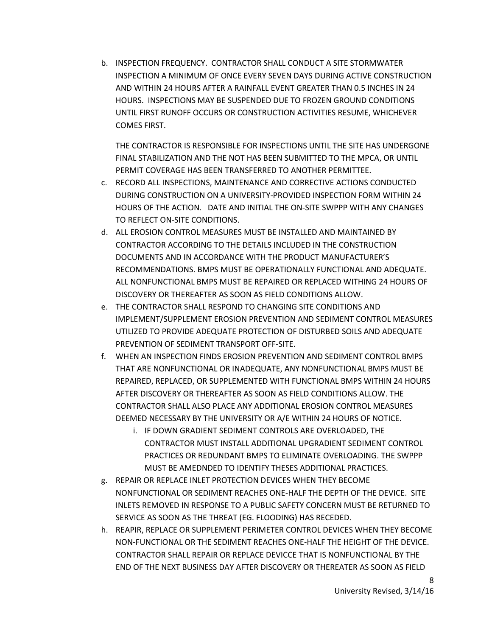b. INSPECTION FREQUENCY. CONTRACTOR SHALL CONDUCT A SITE STORMWATER INSPECTION A MINIMUM OF ONCE EVERY SEVEN DAYS DURING ACTIVE CONSTRUCTION AND WITHIN 24 HOURS AFTER A RAINFALL EVENT GREATER THAN 0.5 INCHES IN 24 HOURS. INSPECTIONS MAY BE SUSPENDED DUE TO FROZEN GROUND CONDITIONS UNTIL FIRST RUNOFF OCCURS OR CONSTRUCTION ACTIVITIES RESUME, WHICHEVER COMES FIRST.

THE CONTRACTOR IS RESPONSIBLE FOR INSPECTIONS UNTIL THE SITE HAS UNDERGONE FINAL STABILIZATION AND THE NOT HAS BEEN SUBMITTED TO THE MPCA, OR UNTIL PERMIT COVERAGE HAS BEEN TRANSFERRED TO ANOTHER PERMITTEE.

- c. RECORD ALL INSPECTIONS, MAINTENANCE AND CORRECTIVE ACTIONS CONDUCTED DURING CONSTRUCTION ON A UNIVERSITY-PROVIDED INSPECTION FORM WITHIN 24 HOURS OF THE ACTION. DATE AND INITIAL THE ON-SITE SWPPP WITH ANY CHANGES TO REFLECT ON-SITE CONDITIONS.
- d. ALL EROSION CONTROL MEASURES MUST BE INSTALLED AND MAINTAINED BY CONTRACTOR ACCORDING TO THE DETAILS INCLUDED IN THE CONSTRUCTION DOCUMENTS AND IN ACCORDANCE WITH THE PRODUCT MANUFACTURER'S RECOMMENDATIONS. BMPS MUST BE OPERATIONALLY FUNCTIONAL AND ADEQUATE. ALL NONFUNCTIONAL BMPS MUST BE REPAIRED OR REPLACED WITHING 24 HOURS OF DISCOVERY OR THEREAFTER AS SOON AS FIELD CONDITIONS ALLOW.
- e. THE CONTRACTOR SHALL RESPOND TO CHANGING SITE CONDITIONS AND IMPLEMENT/SUPPLEMENT EROSION PREVENTION AND SEDIMENT CONTROL MEASURES UTILIZED TO PROVIDE ADEQUATE PROTECTION OF DISTURBED SOILS AND ADEQUATE PREVENTION OF SEDIMENT TRANSPORT OFF-SITE.
- f. WHEN AN INSPECTION FINDS EROSION PREVENTION AND SEDIMENT CONTROL BMPS THAT ARE NONFUNCTIONAL OR INADEQUATE, ANY NONFUNCTIONAL BMPS MUST BE REPAIRED, REPLACED, OR SUPPLEMENTED WITH FUNCTIONAL BMPS WITHIN 24 HOURS AFTER DISCOVERY OR THEREAFTER AS SOON AS FIELD CONDITIONS ALLOW. THE CONTRACTOR SHALL ALSO PLACE ANY ADDITIONAL EROSION CONTROL MEASURES DEEMED NECESSARY BY THE UNIVERSITY OR A/E WITHIN 24 HOURS OF NOTICE.
	- i. IF DOWN GRADIENT SEDIMENT CONTROLS ARE OVERLOADED, THE CONTRACTOR MUST INSTALL ADDITIONAL UPGRADIENT SEDIMENT CONTROL PRACTICES OR REDUNDANT BMPS TO ELIMINATE OVERLOADING. THE SWPPP MUST BE AMEDNDED TO IDENTIFY THESES ADDITIONAL PRACTICES.
- g. REPAIR OR REPLACE INLET PROTECTION DEVICES WHEN THEY BECOME NONFUNCTIONAL OR SEDIMENT REACHES ONE-HALF THE DEPTH OF THE DEVICE. SITE INLETS REMOVED IN RESPONSE TO A PUBLIC SAFETY CONCERN MUST BE RETURNED TO SERVICE AS SOON AS THE THREAT (EG. FLOODING) HAS RECEDED.
- h. REAPIR, REPLACE OR SUPPLEMENT PERIMETER CONTROL DEVICES WHEN THEY BECOME NON-FUNCTIONAL OR THE SEDIMENT REACHES ONE-HALF THE HEIGHT OF THE DEVICE. CONTRACTOR SHALL REPAIR OR REPLACE DEVICCE THAT IS NONFUNCTIONAL BY THE END OF THE NEXT BUSINESS DAY AFTER DISCOVERY OR THEREATER AS SOON AS FIELD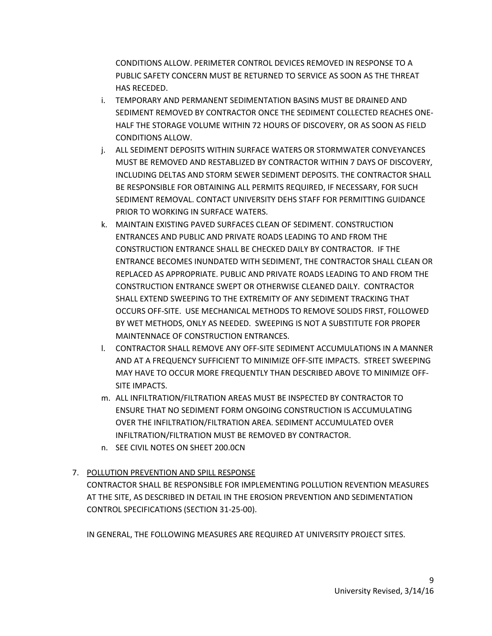CONDITIONS ALLOW. PERIMETER CONTROL DEVICES REMOVED IN RESPONSE TO A PUBLIC SAFETY CONCERN MUST BE RETURNED TO SERVICE AS SOON AS THE THREAT HAS RECEDED.

- i. TEMPORARY AND PERMANENT SEDIMENTATION BASINS MUST BE DRAINED AND SEDIMENT REMOVED BY CONTRACTOR ONCE THE SEDIMENT COLLECTED REACHES ONE-HALF THE STORAGE VOLUME WITHIN 72 HOURS OF DISCOVERY, OR AS SOON AS FIELD CONDITIONS ALLOW.
- j. ALL SEDIMENT DEPOSITS WITHIN SURFACE WATERS OR STORMWATER CONVEYANCES MUST BE REMOVED AND RESTABLIZED BY CONTRACTOR WITHIN 7 DAYS OF DISCOVERY, INCLUDING DELTAS AND STORM SEWER SEDIMENT DEPOSITS. THE CONTRACTOR SHALL BE RESPONSIBLE FOR OBTAINING ALL PERMITS REQUIRED, IF NECESSARY, FOR SUCH SEDIMENT REMOVAL. CONTACT UNIVERSITY DEHS STAFF FOR PERMITTING GUIDANCE PRIOR TO WORKING IN SURFACE WATERS.
- k. MAINTAIN EXISTING PAVED SURFACES CLEAN OF SEDIMENT. CONSTRUCTION ENTRANCES AND PUBLIC AND PRIVATE ROADS LEADING TO AND FROM THE CONSTRUCTION ENTRANCE SHALL BE CHECKED DAILY BY CONTRACTOR. IF THE ENTRANCE BECOMES INUNDATED WITH SEDIMENT, THE CONTRACTOR SHALL CLEAN OR REPLACED AS APPROPRIATE. PUBLIC AND PRIVATE ROADS LEADING TO AND FROM THE CONSTRUCTION ENTRANCE SWEPT OR OTHERWISE CLEANED DAILY. CONTRACTOR SHALL EXTEND SWEEPING TO THE EXTREMITY OF ANY SEDIMENT TRACKING THAT OCCURS OFF-SITE. USE MECHANICAL METHODS TO REMOVE SOLIDS FIRST, FOLLOWED BY WET METHODS, ONLY AS NEEDED. SWEEPING IS NOT A SUBSTITUTE FOR PROPER MAINTENNACE OF CONSTRUCTION ENTRANCES.
- l. CONTRACTOR SHALL REMOVE ANY OFF-SITE SEDIMENT ACCUMULATIONS IN A MANNER AND AT A FREQUENCY SUFFICIENT TO MINIMIZE OFF-SITE IMPACTS. STREET SWEEPING MAY HAVE TO OCCUR MORE FREQUENTLY THAN DESCRIBED ABOVE TO MINIMIZE OFF-SITE IMPACTS.
- m. ALL INFILTRATION/FILTRATION AREAS MUST BE INSPECTED BY CONTRACTOR TO ENSURE THAT NO SEDIMENT FORM ONGOING CONSTRUCTION IS ACCUMULATING OVER THE INFILTRATION/FILTRATION AREA. SEDIMENT ACCUMULATED OVER INFILTRATION/FILTRATION MUST BE REMOVED BY CONTRACTOR.
- n. SEE CIVIL NOTES ON SHEET 200.0CN

## 7. POLLUTION PREVENTION AND SPILL RESPONSE

CONTRACTOR SHALL BE RESPONSIBLE FOR IMPLEMENTING POLLUTION REVENTION MEASURES AT THE SITE, AS DESCRIBED IN DETAIL IN THE EROSION PREVENTION AND SEDIMENTATION CONTROL SPECIFICATIONS (SECTION 31-25-00).

IN GENERAL, THE FOLLOWING MEASURES ARE REQUIRED AT UNIVERSITY PROJECT SITES.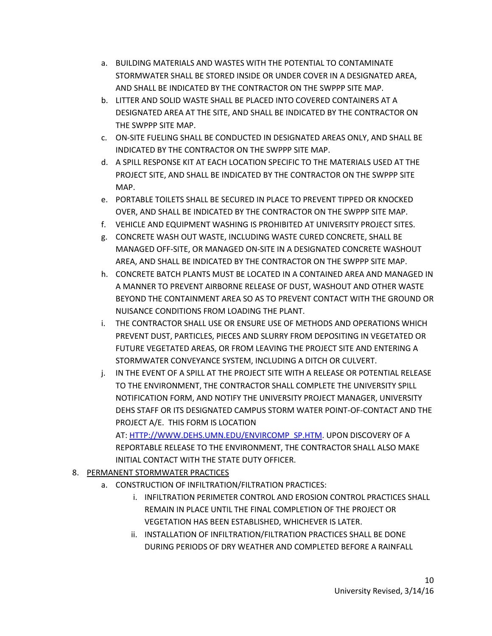- a. BUILDING MATERIALS AND WASTES WITH THE POTENTIAL TO CONTAMINATE STORMWATER SHALL BE STORED INSIDE OR UNDER COVER IN A DESIGNATED AREA, AND SHALL BE INDICATED BY THE CONTRACTOR ON THE SWPPP SITE MAP.
- b. LITTER AND SOLID WASTE SHALL BE PLACED INTO COVERED CONTAINERS AT A DESIGNATED AREA AT THE SITE, AND SHALL BE INDICATED BY THE CONTRACTOR ON THE SWPPP SITE MAP.
- c. ON-SITE FUELING SHALL BE CONDUCTED IN DESIGNATED AREAS ONLY, AND SHALL BE INDICATED BY THE CONTRACTOR ON THE SWPPP SITE MAP.
- d. A SPILL RESPONSE KIT AT EACH LOCATION SPECIFIC TO THE MATERIALS USED AT THE PROJECT SITE, AND SHALL BE INDICATED BY THE CONTRACTOR ON THE SWPPP SITE MAP.
- e. PORTABLE TOILETS SHALL BE SECURED IN PLACE TO PREVENT TIPPED OR KNOCKED OVER, AND SHALL BE INDICATED BY THE CONTRACTOR ON THE SWPPP SITE MAP.
- f. VEHICLE AND EQUIPMENT WASHING IS PROHIBITED AT UNIVERSITY PROJECT SITES.
- g. CONCRETE WASH OUT WASTE, INCLUDING WASTE CURED CONCRETE, SHALL BE MANAGED OFF-SITE, OR MANAGED ON-SITE IN A DESIGNATED CONCRETE WASHOUT AREA, AND SHALL BE INDICATED BY THE CONTRACTOR ON THE SWPPP SITE MAP.
- h. CONCRETE BATCH PLANTS MUST BE LOCATED IN A CONTAINED AREA AND MANAGED IN A MANNER TO PREVENT AIRBORNE RELEASE OF DUST, WASHOUT AND OTHER WASTE BEYOND THE CONTAINMENT AREA SO AS TO PREVENT CONTACT WITH THE GROUND OR NUISANCE CONDITIONS FROM LOADING THE PLANT.
- i. THE CONTRACTOR SHALL USE OR ENSURE USE OF METHODS AND OPERATIONS WHICH PREVENT DUST, PARTICLES, PIECES AND SLURRY FROM DEPOSITING IN VEGETATED OR FUTURE VEGETATED AREAS, OR FROM LEAVING THE PROJECT SITE AND ENTERING A STORMWATER CONVEYANCE SYSTEM, INCLUDING A DITCH OR CULVERT.
- j. IN THE EVENT OF A SPILL AT THE PROJECT SITE WITH A RELEASE OR POTENTIAL RELEASE TO THE ENVIRONMENT, THE CONTRACTOR SHALL COMPLETE THE UNIVERSITY SPILL NOTIFICATION FORM, AND NOTIFY THE UNIVERSITY PROJECT MANAGER, UNIVERSITY DEHS STAFF OR ITS DESIGNATED CAMPUS STORM WATER POINT-OF-CONTACT AND THE PROJECT A/E. THIS FORM IS LOCATION

AT: [HTTP://WWW.DEHS.UMN.EDU/ENVIRCOMP\\_SP.HTM.](http://www.dehs.umn.edu/ENVIRCOMP_SP.HTM) UPON DISCOVERY OF A REPORTABLE RELEASE TO THE ENVIRONMENT, THE CONTRACTOR SHALL ALSO MAKE INITIAL CONTACT WITH THE STATE DUTY OFFICER.

- 8. PERMANENT STORMWATER PRACTICES
	- a. CONSTRUCTION OF INFILTRATION/FILTRATION PRACTICES:
		- i. INFILTRATION PERIMETER CONTROL AND EROSION CONTROL PRACTICES SHALL REMAIN IN PLACE UNTIL THE FINAL COMPLETION OF THE PROJECT OR VEGETATION HAS BEEN ESTABLISHED, WHICHEVER IS LATER.
		- ii. INSTALLATION OF INFILTRATION/FILTRATION PRACTICES SHALL BE DONE DURING PERIODS OF DRY WEATHER AND COMPLETED BEFORE A RAINFALL